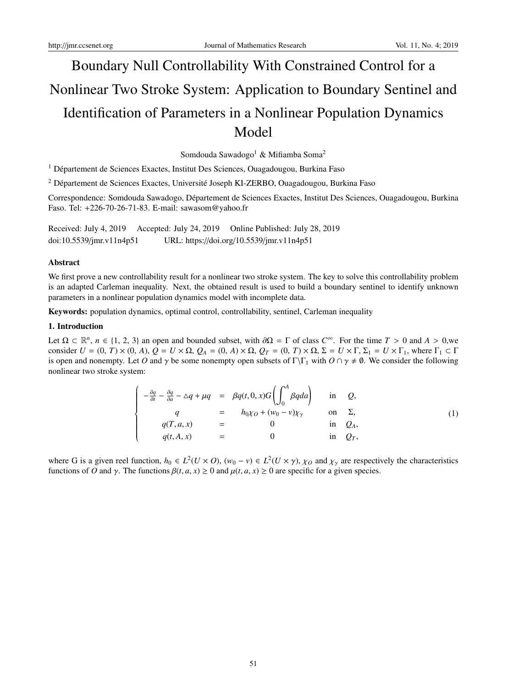# Boundary Null Controllability With Constrained Control for a Nonlinear Two Stroke System: Application to Boundary Sentinel and Identification of Parameters in a Nonlinear Population Dynamics Model

Somdouda Sawadogo<sup>1</sup> & Mifiamba Soma<sup>2</sup>

<sup>1</sup> Département de Sciences Exactes, Institut Des Sciences, Ouagadougou, Burkina Faso

 $2$  Département de Sciences Exactes, Université Joseph KI-ZERBO, Ouagadougou, Burkina Faso

Correspondence: Somdouda Sawadogo, Departement de Sciences Exactes, Institut Des Sciences, Ouagadougou, Burkina ´ Faso. Tel: +226-70-26-71-83. E-mail: sawasom@yahoo.fr

Received: July 4, 2019 Accepted: July 24, 2019 Online Published: July 28, 2019 doi:10.5539/jmr.v11n4p51 URL: https://doi.org/10.5539/jmr.v11n4p51

## Abstract

We first prove a new controllability result for a nonlinear two stroke system. The key to solve this controllability problem is an adapted Carleman inequality. Next, the obtained result is used to build a boundary sentinel to identify unknown parameters in a nonlinear population dynamics model with incomplete data.

Keywords: population dynamics, optimal control, controllability, sentinel, Carleman inequality

## 1. Introduction

Let  $\Omega \subset \mathbb{R}^n$ ,  $n \in \{1, 2, 3\}$  an open and bounded subset, with  $\partial \Omega = \Gamma$  of class  $C^{\infty}$ . For the time  $T > 0$  and  $A > 0$ , we consider  $U = (0, T) \times (0, A)$ ,  $Q = U \times \Omega$ ,  $Q_A = (0, A) \times \Omega$ ,  $Q_T = (0, T) \times \Omega$ ,  $\Sigma = U \times \Gamma$ ,  $\Sigma_1 = U \times \Gamma$ , where  $\Gamma_1 \subset \Gamma$ is open and nonempty. Let *O* and  $\gamma$  be some nonempty open subsets of  $\Gamma\backslash\Gamma_1$  with  $O \cap \gamma \neq \emptyset$ . We consider the following nonlinear two stroke system:

$$
\begin{cases}\n-\frac{\partial q}{\partial t} - \frac{\partial q}{\partial a} - \Delta q + \mu q &= \beta q(t, 0, x)G\left(\int_0^A \beta q da\right) & \text{in } Q, \\
q &= h_0 \chi_0 + (w_0 - v)\chi_\gamma & \text{on } \Sigma, \\
q(T, a, x) &= 0 & \text{in } Q_A, \\
q(t, A, x) &= 0 & \text{in } Q_T,\n\end{cases}
$$
\n(1)

where G is a given reel function,  $h_0 \in L^2(U \times O)$ ,  $(w_0 - v) \in L^2(U \times \gamma)$ ,  $\chi_O$  and  $\chi_\gamma$  are respectively the characteristics functions of *O* and  $\gamma$ . The functions  $\beta(t, a, x) \ge 0$  and  $\mu(t, a, x) \ge 0$  are specific for a given species.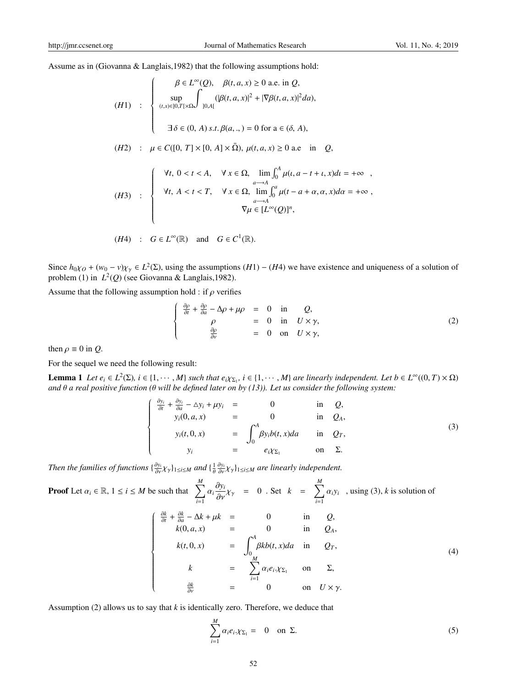Assume as in (Giovanna & Langlais,1982) that the following assumptions hold:

$$
(H1) : \begin{cases} \beta \in L^{\infty}(Q), & \beta(t, a, x) \ge 0 \text{ a.e. in } Q, \\ \sup_{(t,x)\in[0,T]\times\Omega} \int_{[0,A[} (|\beta(t, a, x)|^{2} + |\nabla\beta(t, a, x)|^{2} da), \\ 0, \text{ if } \beta \in (0, A) \text{ s.t. } \beta(a, ., ) = 0 \text{ for a } \in (\delta, A), \end{cases}
$$
  
\n
$$
(H2) : \mu \in C([0, T] \times [0, A] \times \overline{\Omega}), \mu(t, a, x) \ge 0 \text{ a.e. in } Q,
$$
  
\n
$$
(H3) : \begin{cases} \forall t, & 0 < t < A, \quad \forall x \in \Omega, \lim_{a \to A} \int_{0}^{A} \mu(t, a - t + t, x) dt = +\infty, \\ \forall t, & A < t < T, \quad \forall x \in \Omega, \lim_{a \to A} \int_{0}^{a} \mu(t - a + \alpha, \alpha, x) d\alpha = +\infty, \\ \nabla \mu \in [L^{\infty}(Q)]^{n}, \end{cases}
$$

$$
(H4) : G \in L^{\infty}(\mathbb{R}) \text{ and } G \in C^{1}(\mathbb{R}).
$$

Since  $h_{0}\chi_{0} + (w_{0} - v)\chi_{\gamma} \in L^{2}(\Sigma)$ , using the assumptions  $(H1) - (H4)$  we have existence and uniqueness of a solution of problem (1) in *L* 2 (*Q*) (see Giovanna & Langlais,1982).

Assume that the following assumption hold : if  $\rho$  verifies

$$
\begin{cases}\n\frac{\partial \rho}{\partial t} + \frac{\partial \rho}{\partial a} - \Delta \rho + \mu \rho & = 0 \quad \text{in} \quad Q, \\
\rho & = 0 \quad \text{in} \quad U \times \gamma, \\
\frac{\partial \rho}{\partial v} & = 0 \quad \text{on} \quad U \times \gamma,\n\end{cases}
$$
\n(2)

then  $\rho \equiv 0$  in *Q*.

For the sequel we need the following result:

Lemma 1 Let  $e_i \in L^2(\Sigma)$ ,  $i \in \{1, \dots, M\}$  such that  $e_i \chi_{\Sigma_1}$ ,  $i \in \{1, \dots, M\}$  are linearly independent. Let  $b \in L^{\infty}((0, T) \times \Omega)$ *and* θ *a real positive function (*θ *will be defined later on by (13)). Let us consider the following system:*

$$
\begin{cases}\n\frac{\partial y_i}{\partial t} + \frac{\partial y_i}{\partial a} - \Delta y_i + \mu y_i & = & 0 & \text{in } Q, \\
y_i(0, a, x) & = & 0 & \text{in } Q_A, \\
y_i(t, 0, x) & = & \int_0^A \beta y_i b(t, x) da & \text{in } Q_T, \\
y_i & = & e_i \chi_{\Sigma_1} & \text{on } \Sigma.\n\end{cases}
$$
\n(3)

*Then the families of functions*  $\{\frac{\partial y_i}{\partial y} \chi_\gamma\}_{1\leq i\leq M}$  *and*  $\{\frac{1}{\theta}\frac{\partial y_i}{\partial y} \chi_\gamma\}_{1\leq i\leq M}$  *are linearly independent.* 

**Proof** Let 
$$
\alpha_i \in \mathbb{R}
$$
,  $1 \le i \le M$  be such that  $\sum_{i=1}^{M} \alpha_i \frac{\partial y_i}{\partial v} \chi_{\gamma} = 0$ . Set  $k = \sum_{i=1}^{M} \alpha_i y_i$ , using (3), k is solution of\n
$$
\begin{cases}\n\frac{\partial k}{\partial t} + \frac{\partial k}{\partial a} - \Delta k + \mu k = 0 & \text{in } Q, \\
k(0, a, x) = 0 & \text{in } Q, \\
k(t, 0, x) = \int_0^A \beta k b(t, x) da & \text{in } Q_T, \\
k = \sum_{i=1}^{M} \alpha_i e_i \chi_{\Sigma_1} & \text{on } \Sigma, \\
\frac{\partial k}{\partial v} = 0 & \text{on } U \times \gamma.\n\end{cases}
$$
\n(4)

Assumption (2) allows us to say that *k* is identically zero. Therefore, we deduce that

$$
\sum_{i=1}^{M} \alpha_i e_i \chi_{\Sigma_1} = 0 \quad \text{on } \Sigma.
$$
 (5)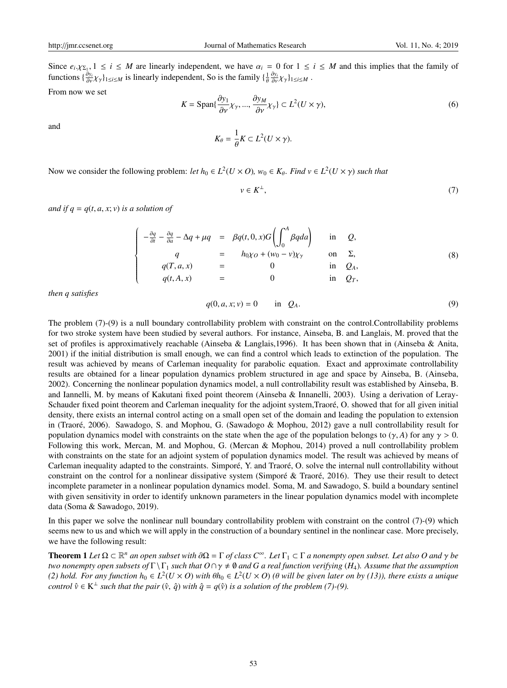Since  $e_i \chi_{\Sigma_1}$ ,  $1 \le i \le M$  are linearly independent, we have  $\alpha_i = 0$  for  $1 \le i \le M$  and this implies that the family of functions  $\{\frac{\partial y_i}{\partial \nu} \chi_\gamma\}_{1 \le i \le M}$  is linearly independent, So is the family  $\{\frac{1}{\theta} \frac{\partial y_i}{\partial \nu} \chi_\gamma\}_{1 \le i \le M}$ .

From now we set

$$
K = \text{Span}\{\frac{\partial y_1}{\partial v}\chi_\gamma, ..., \frac{\partial y_M}{\partial v}\chi_\gamma\} \subset L^2(U \times \gamma),\tag{6}
$$

and

$$
K_{\theta} = \frac{1}{\theta} K \subset L^2(U \times \gamma).
$$

Now we consider the following problem: *let*  $h_0 \in L^2(U \times O)$ ,  $w_0 \in K_\theta$ . *Find*  $v \in L^2(U \times \gamma)$  *such that* 

$$
v \in K^{\perp}, \tag{7}
$$

*and if*  $q = q(t, a, x; v)$  *<i>is a solution of* 

$$
\begin{cases}\n-\frac{\partial q}{\partial t} - \frac{\partial q}{\partial a} - \Delta q + \mu q &= \beta q(t, 0, x) G \left( \int_0^A \beta q da \right) & \text{in } Q, \\
q &= h_0 \chi_0 + (w_0 - v) \chi_\gamma & \text{on } \Sigma, \\
q(T, a, x) &= 0 & \text{in } Q_A, \\
q(t, A, x) &= 0 & \text{in } Q_T,\n\end{cases}
$$
\n(8)

*then q satisfies*

$$
q(0, a, x; v) = 0 \qquad \text{in} \quad Q_A. \tag{9}
$$

The problem (7)-(9) is a null boundary controllability problem with constraint on the control.Controllability problems for two stroke system have been studied by several authors. For instance, Ainseba, B. and Langlais, M. proved that the set of profiles is approximatively reachable (Ainseba & Langlais,1996). It has been shown that in (Ainseba & Anita, 2001) if the initial distribution is small enough, we can find a control which leads to extinction of the population. The result was achieved by means of Carleman inequality for parabolic equation. Exact and approximate controllability results are obtained for a linear population dynamics problem structured in age and space by Ainseba, B. (Ainseba, 2002). Concerning the nonlinear population dynamics model, a null controllability result was established by Ainseba, B. and Iannelli, M. by means of Kakutani fixed point theorem (Ainseba & Innanelli, 2003). Using a derivation of Leray-Schauder fixed point theorem and Carleman inequality for the adjoint system,Traoré, O. showed that for all given initial density, there exists an internal control acting on a small open set of the domain and leading the population to extension in (Traoré, 2006). Sawadogo, S. and Mophou, G. (Sawadogo & Mophou, 2012) gave a null controllability result for population dynamics model with constraints on the state when the age of the population belongs to  $(\gamma, A)$  for any  $\gamma > 0$ . Following this work, Mercan, M. and Mophou, G. (Mercan & Mophou, 2014) proved a null controllability problem with constraints on the state for an adjoint system of population dynamics model. The result was achieved by means of Carleman inequality adapted to the constraints. Simporé, Y. and Traoré, O. solve the internal null controllability without constraint on the control for a nonlinear dissipative system (Simporé  $\&$  Traoré, 2016). They use their result to detect incomplete parameter in a nonlinear population dynamics model. Soma, M. and Sawadogo, S. build a boundary sentinel with given sensitivity in order to identify unknown parameters in the linear population dynamics model with incomplete data (Soma & Sawadogo, 2019).

In this paper we solve the nonlinear null boundary controllability problem with constraint on the control (7)-(9) which seems new to us and which we will apply in the construction of a boundary sentinel in the nonlinear case. More precisely, we have the following result:

**Theorem 1** Let  $\Omega \subset \mathbb{R}^n$  an open subset with  $\partial\Omega = \Gamma$  of class  $C^\infty$ . Let  $\Gamma_1 \subset \Gamma$  a nonempty open subset. Let also O and  $\gamma$  be *two nonempty open subsets of*  $\Gamma \setminus \Gamma_1$  *such that O* $\cap \gamma \neq \emptyset$  *and G a real function verifying* (*H*<sub>4</sub>)*. Assume that the assumption* (2) hold. For any function  $h_0 \in L^2(U\times O)$  with  $\theta h_0 \in L^2(U\times O)$  ( $\theta$  will be given later on by (13)), there exists a unique *control*  $\hat{v} \in K^{\perp}$  *such that the pair*  $(\hat{v}, \hat{q})$  *with*  $\hat{q} = q(\hat{v})$  *is a solution of the problem* (7)-(9).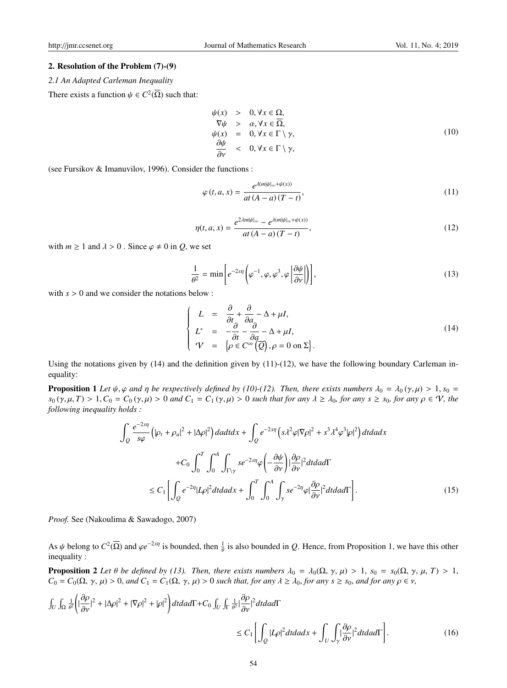#### 2. Resolution of the Problem (7)-(9)

*2.1 An Adapted Carleman Inequality*

There exists a function  $\psi \in C^2(\overline{\Omega})$  such that:

$$
\psi(x) > 0, \forall x \in \Omega,\n\nabla \psi > \alpha, \forall x \in \overline{\Omega},\n\psi(x) = 0, \forall x \in \Gamma \setminus \gamma,\n\frac{\partial \psi}{\partial \nu} < 0, \forall x \in \Gamma \setminus \gamma,
$$
\n(10)

(see Fursikov & Imanuvilov, 1996). Consider the functions :

$$
\varphi(t, a, x) = \frac{e^{\lambda(m|\psi|_{\infty} + \psi(x))}}{at (A - a) (T - t)},
$$
\n(11)

$$
\eta(t, a, x) = \frac{e^{2\lambda m|\psi|_{\infty}} - e^{\lambda(m|\psi|_{\infty} + \psi(x))}}{at (A - a) (T - t)},
$$
\n(12)

with  $m \ge 1$  and  $\lambda > 0$ . Since  $\varphi \ne 0$  in *Q*, we set

$$
\frac{1}{\theta^2} = \min \left[ e^{-2s\eta} \left( \varphi^{-1}, \varphi, \varphi^3, \varphi \left| \frac{\partial \psi}{\partial \nu} \right| \right) \right],\tag{13}
$$

with  $s > 0$  and we consider the notations below :

$$
\begin{cases}\nL = \frac{\partial}{\partial t} + \frac{\partial}{\partial a} - \Delta + \mu I, \\
L^* = -\frac{\partial}{\partial t} - \frac{\partial}{\partial a} - \Delta + \mu I, \\
\mathcal{V} = \left\{\rho \in C^\infty(\overline{Q}), \rho = 0 \text{ on } \Sigma\right\}.\n\end{cases} \tag{14}
$$

Using the notations given by  $(14)$  and the definition given by  $(11)-(12)$ , we have the following boundary Carleman inequality:

**Proposition 1** Let  $\psi$ ,  $\varphi$  and  $\eta$  be respectively defined by (10)-(12). Then, there exists numbers  $\lambda_0 = \lambda_0$  ( $\gamma$ ,  $\mu$ ) > 1,  $s_0$  =  $s_0$  (γ,  $\mu$ , *T*) > 1,  $C_0 = C_0$  (γ,  $\mu$ ) > 0 *and*  $C_1 = C_1$  (γ,  $\mu$ ) > 0 *such that for any*  $\lambda \ge \lambda_0$ , *for any*  $s \ge s_0$ , *for any*  $\rho \in V$ , *the following inequality holds :*

$$
\int_{Q} \frac{e^{-2s\eta}}{s\varphi} \left( |\rho_t + \rho_a|^2 + |\Delta \rho|^2 \right) da dt dx + \int_{Q} e^{-2s\eta} \left( s\lambda^2 \varphi |\nabla \rho|^2 + s^3 \lambda^4 \varphi^3 |\rho|^2 \right) dt da dx
$$
  
+
$$
C_0 \int_0^T \int_0^A \int_{\Gamma \backslash \gamma} s e^{-2s\eta} \varphi \left( -\frac{\partial \psi}{\partial \nu} \right) |\frac{\partial \rho}{\partial \nu}|^2 dt da d\Gamma
$$
  

$$
\leq C_1 \left[ \int_Q e^{-2\eta} |L \rho|^2 dt da dx + \int_0^T \int_0^A \int_\gamma s e^{-2\eta} \varphi |\frac{\partial \rho}{\partial \nu}|^2 dt da d\Gamma \right].
$$
 (15)

*Proof.* See (Nakoulima & Sawadogo, 2007)

As  $\psi$  belong to  $C^2(\overline{\Omega})$  and  $\varphi e^{-2s\eta}$  is bounded, then  $\frac{1}{\theta}$  is also bounded in *Q*. Hence, from Proposition 1, we have this other inequality :

**Proposition 2** Let  $\theta$  be defined by (13). Then, there exists numbers  $\lambda_0 = \lambda_0(\Omega, \gamma, \mu) > 1$ ,  $s_0 = s_0(\Omega, \gamma, \mu, T) > 1$ ,  $C_0 = C_0(\Omega, \gamma, \mu) > 0$ , and  $C_1 = C_1(\Omega, \gamma, \mu) > 0$  *such that, for any*  $\lambda \ge \lambda_0$ , *for any*  $s \ge s_0$ , and *for any*  $\rho \in \nu$ ,

$$
\int_{U} \int_{\Omega} \frac{1}{\theta^{2}} \left( \left| \frac{\partial \rho}{\partial \nu} \right|^{2} + |\Delta \rho|^{2} + |\nabla \rho|^{2} + |\rho|^{2} \right) dt da d\Gamma + C_{0} \int_{U} \int_{\Gamma} \frac{1}{\theta^{2}} \left| \frac{\partial \rho}{\partial \nu} \right|^{2} dt da d\Gamma
$$
\n
$$
\leq C_{1} \left[ \int_{Q} |L \rho|^{2} dt da dx + \int_{U} \int_{\gamma} \left| \frac{\partial \rho}{\partial \nu} \right|^{2} dt da d\Gamma \right].
$$
\n(16)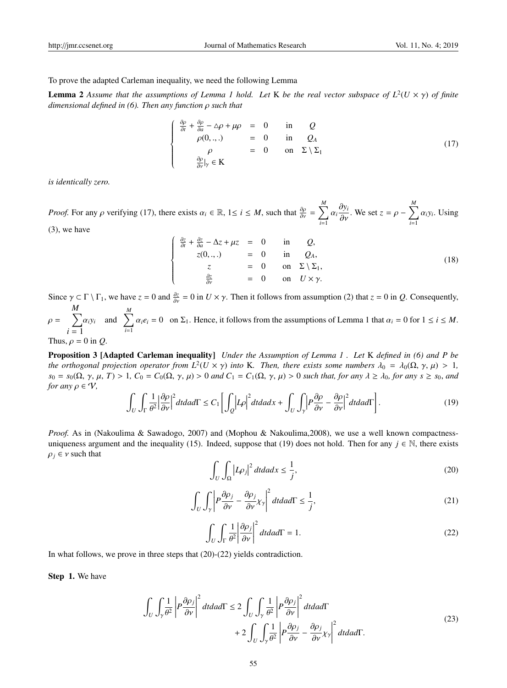To prove the adapted Carleman inequality, we need the following Lemma

**Lemma 2** Assume that the assumptions of Lemma 1 hold. Let K be the real vector subspace of  $L^2(U \times \gamma)$  of finite *dimensional defined in (6). Then any function* ρ *such that*

$$
\begin{cases}\n\frac{\partial \rho}{\partial t} + \frac{\partial \rho}{\partial a} - \Delta \rho + \mu \rho = 0 & \text{in} \quad Q \\
\rho(0, \ldots) = 0 & \text{in} \quad Q_A \\
\rho = 0 & \text{on} \quad \Sigma \setminus \Sigma_1 \\
\frac{\partial \rho}{\partial \nu}|_{\gamma} \in K\n\end{cases}
$$
\n(17)

*is identically zero.*

*Proof.* For any  $\rho$  verifying (17), there exists  $\alpha_i \in \mathbb{R}$ ,  $1 \le i \le M$ , such that  $\frac{\partial \rho}{\partial v} = \sum_{i=1}^{M}$ *i*=1  $\alpha_i \frac{\partial y_i}{\partial v}$ . We set  $z = \rho - \sum_{i=1}^M$ *i*=1  $\alpha_i y_i$ . Using

(3), we have

$$
\begin{cases}\n\frac{\partial z}{\partial t} + \frac{\partial z}{\partial a} - \Delta z + \mu z &= 0 & \text{in} \quad Q, \\
z(0,..) &= 0 & \text{in} \quad Q_A, \\
z &= 0 & \text{on} \quad \Sigma \setminus \Sigma_1, \\
\frac{\partial z}{\partial \nu} &= 0 & \text{on} \quad U \times \gamma.\n\end{cases}
$$
\n(18)

Since  $\gamma \subset \Gamma \setminus \Gamma_1$ , we have  $z = 0$  and  $\frac{\partial z}{\partial \nu} = 0$  in  $U \times \gamma$ . Then it follows from assumption (2) that  $z = 0$  in *Q*. Consequently,  $\rho = \sum$ *M* α*iy<sup>i</sup> i* = 1 and  $\sum_{n=1}^{M}$ *i*=1  $\alpha_i e_i = 0$  on  $\Sigma_1$ . Hence, it follows from the assumptions of Lemma 1 that  $\alpha_i = 0$  for  $1 \le i \le M$ .

Thus,  $\rho = 0$  in O.

Proposition 3 [Adapted Carleman inequality] *Under the Assumption of Lemma 1 . Let* K *defined in (6) and P be the orthogonal projection operator from*  $L^2(U \times \gamma)$  *into* K*. Then, there exists some numbers*  $\lambda_0 = \lambda_0(\Omega, \gamma, \mu) > 1$ ,  $s_0 = s_0(\Omega, \gamma, \mu, T) > 1$ ,  $C_0 = C_0(\Omega, \gamma, \mu) > 0$  *and*  $C_1 = C_1(\Omega, \gamma, \mu) > 0$  *such that, for any*  $\lambda \geq \lambda_0$ , *for any*  $s \geq s_0$ , *and for any*  $\rho \in \mathcal{V}$ ,

$$
\int_{U} \int_{\Gamma} \frac{1}{\theta^{2}} \left| \frac{\partial \rho}{\partial \nu} \right|^{2} dt da d\Gamma \leq C_{1} \left[ \int_{Q} \left| L \rho \right|^{2} dt da dx + \int_{U} \int_{\gamma} \left| P \frac{\partial \rho}{\partial \nu} - \frac{\partial \rho}{\partial \nu} \right|^{2} dt da d\Gamma \right].
$$
\n(19)

*Proof.* As in (Nakoulima & Sawadogo, 2007) and (Mophou & Nakoulima, 2008), we use a well known compactnessuniqueness argument and the inequality (15). Indeed, suppose that (19) does not hold. Then for any  $j \in \mathbb{N}$ , there exists  $\rho_j \in v$  such that

$$
\int_{U} \int_{\Omega} \left| L \rho_j \right|^2 dt da dx \le \frac{1}{j},\tag{20}
$$

$$
\int_{U} \int_{\gamma} \left| P \frac{\partial \rho_{j}}{\partial v} - \frac{\partial \rho_{j}}{\partial v} \chi_{\gamma} \right|^{2} dt da d\Gamma \le \frac{1}{j},\tag{21}
$$

$$
\int_{U} \int_{\Gamma} \frac{1}{\theta^{2}} \left| \frac{\partial \rho_{j}}{\partial v} \right|^{2} dt da d\Gamma = 1.
$$
\n(22)

In what follows, we prove in three steps that  $(20)-(22)$  yields contradiction.

Step 1. We have

$$
\int_{U} \int_{\gamma} \frac{1}{\theta^{2}} \left| P \frac{\partial \rho_{j}}{\partial v} \right|^{2} dt da d\Gamma \le 2 \int_{U} \int_{\gamma} \frac{1}{\theta^{2}} \left| P \frac{\partial \rho_{j}}{\partial v} \right|^{2} dt da d\Gamma + 2 \int_{U} \int_{\gamma} \frac{1}{\theta^{2}} \left| P \frac{\partial \rho_{j}}{\partial v} - \frac{\partial \rho_{j}}{\partial v} \chi_{\gamma} \right|^{2} dt da d\Gamma.
$$
\n(23)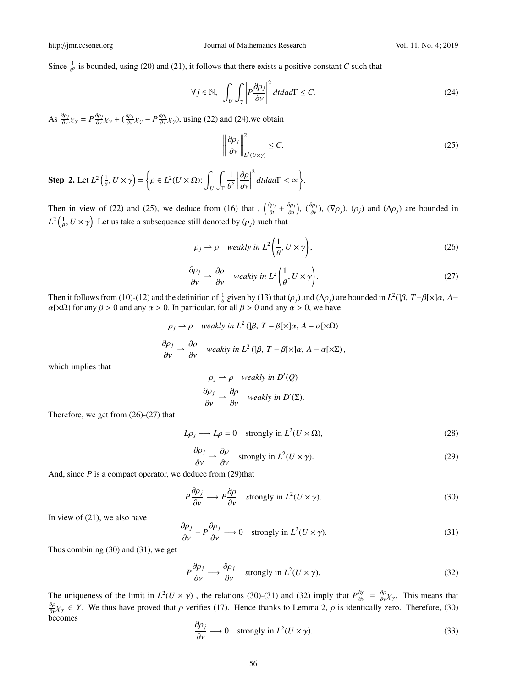Since  $\frac{1}{\theta^2}$  is bounded, using (20) and (21), it follows that there exists a positive constant *C* such that

$$
\forall j \in \mathbb{N}, \quad \int_{U} \int_{\gamma} \left| P \frac{\partial \rho_{j}}{\partial \nu} \right|^{2} dt da d\Gamma \leq C. \tag{24}
$$

As  $\frac{\partial \rho_j}{\partial y} \chi_\gamma = P \frac{\partial \rho_j}{\partial y} \chi_\gamma + (\frac{\partial \rho_j}{\partial y} \chi_\gamma - P \frac{\partial \rho_j}{\partial y} \chi_\gamma)$ , using (22) and (24), we obtain

$$
\left\|\frac{\partial \rho_j}{\partial v}\right\|_{L^2(U\times \gamma)}^2 \le C. \tag{25}
$$

**Step 2.** Let  $L^2\left(\frac{1}{\theta}, U \times \gamma\right) = \left\{\rho \in L^2(U \times \Omega); \int_U \right\}$ ∫ Γ 1  $\theta^2$  $\begin{array}{c} \n \downarrow \\ \n \downarrow \\ \n \downarrow \n \end{array}$ ∂ρ ∂ν  $\begin{array}{c} \n \downarrow \\ \n \downarrow \\ \n \downarrow \n \end{array}$  $\left\{\begin{array}{l} 2 \\ dt da d$ Γ < ∞

Then in view of (22) and (25), we deduce from (16) that ,  $\left(\frac{\partial \rho_j}{\partial t}\right)$  $\frac{\partial \rho_j}{\partial t} + \frac{\partial \rho_j}{\partial a}$  $\left(\frac{\partial \rho_j}{\partial \alpha}\right)$ ,  $\left(\frac{\partial \rho_j}{\partial v}\right)$ ,  $\left(\nabla \rho_j\right)$ ,  $\left(\rho_j\right)$  and  $\left(\Delta \rho_j\right)$  are bounded in  $L^2\left(\frac{1}{\theta},U\times \gamma\right)$ . Let us take a subsequence still denoted by  $(\rho_j)$  such that

$$
\rho_j \rightharpoonup \rho \quad weakly \ in \ L^2\bigg(\frac{1}{\theta}, U \times \gamma\bigg),\tag{26}
$$

$$
\frac{\partial \rho_j}{\partial v} \rightharpoonup \frac{\partial \rho}{\partial v} \quad weakly in \ L^2\left(\frac{1}{\theta}, U \times \gamma\right). \tag{27}
$$

Then it follows from (10)-(12) and the definition of  $\frac{1}{\theta}$  given by (13) that ( $\rho_j$ ) and ( $\Delta \rho_j$ ) are bounded in *L*<sup>2</sup>(]β, *T*−β[×]α, *A*−  $\alpha$ [× $\Omega$ ) for any  $\beta$  > 0 and any  $\alpha$  > 0. In particular, for all  $\beta$  > 0 and any  $\alpha$  > 0, we have

$$
\rho_j \rightharpoonup \rho \quad weakly \text{ in } L^2(\beta, T - \beta[\times]\alpha, A - \alpha[\times\Omega)
$$
  

$$
\frac{\partial \rho_j}{\partial v} \rightharpoonup \frac{\partial \rho}{\partial v} \quad weakly \text{ in } L^2(\beta, T - \beta[\times]\alpha, A - \alpha[\times\Sigma),
$$

which implies that

$$
\rho_j \rightharpoonup \rho \quad weakly \text{ in } D'(Q)
$$
  

$$
\frac{\partial \rho_j}{\partial v} \rightharpoonup \frac{\partial \rho}{\partial v} \quad weakly \text{ in } D'(\Sigma).
$$

Therefore, we get from (26)-(27) that

$$
L\rho_j \longrightarrow L\rho = 0 \quad \text{strongly in } L^2(U \times \Omega), \tag{28}
$$

$$
\frac{\partial \rho_j}{\partial v} \rightharpoonup \frac{\partial \rho}{\partial v} \quad \text{strongly in } L^2(U \times \gamma). \tag{29}
$$

And, since  $P$  is a compact operator, we deduce from  $(29)$ that

$$
P\frac{\partial \rho_j}{\partial \nu} \longrightarrow P\frac{\partial \rho}{\partial \nu} \quad \text{strongly in } L^2(U \times \gamma). \tag{30}
$$

In view of (21), we also have

$$
\frac{\partial \rho_j}{\partial v} - P \frac{\partial \rho_j}{\partial v} \longrightarrow 0 \quad \text{strongly in } L^2(U \times \gamma). \tag{31}
$$

Thus combining (30) and (31), we get

$$
P\frac{\partial \rho_j}{\partial \nu} \longrightarrow \frac{\partial \rho_j}{\partial \nu} \quad \text{strongly in } L^2(U \times \gamma). \tag{32}
$$

The uniqueness of the limit in  $L^2(U \times \gamma)$ , the relations (30)-(31) and (32) imply that  $P^{\frac{\partial \rho}{\partial \gamma}} = \frac{\partial \rho}{\partial \gamma} \chi_\gamma$ . This means that  $\frac{\partial \rho}{\partial v} \chi_{\gamma} \in Y$ . We thus have proved that  $\rho$  verifies (17). Hence thanks to Lemma 2,  $\rho$  is identically zero. Therefore, (30) becomes

$$
\frac{\partial \rho_j}{\partial v} \longrightarrow 0 \quad \text{strongly in } L^2(U \times \gamma). \tag{33}
$$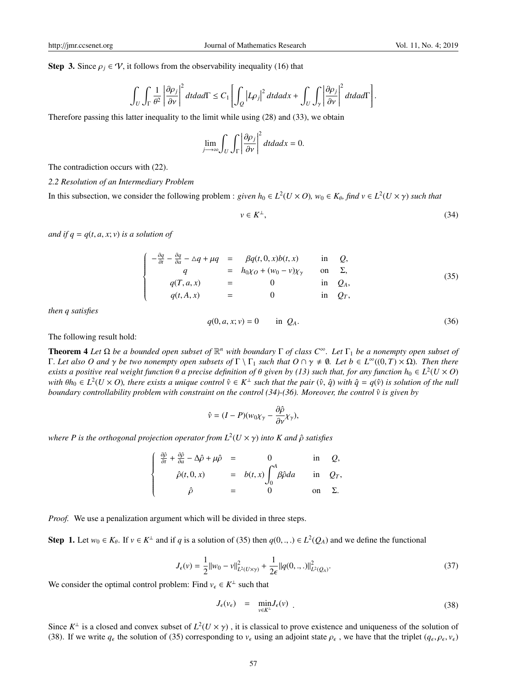**Step 3.** Since  $\rho_i \in \mathcal{V}$ , it follows from the observability inequality (16) that

$$
\int_{U}\int_{\Gamma}\frac{1}{\theta^{2}}\left|\frac{\partial\rho_{j}}{\partial\nu}\right|^{2}dtdad\Gamma\le C_{1}\left[\int_{Q}\left|L\rho_{j}\right|^{2}dtdadx+\int_{U}\int_{\gamma}\left|\frac{\partial\rho_{j}}{\partial\nu}\right|^{2}dtdad\Gamma\right].
$$

Therefore passing this latter inequality to the limit while using (28) and (33), we obtain

$$
\lim_{j \to \infty} \int_{U} \int_{\Gamma} \left| \frac{\partial \rho_j}{\partial v} \right|^2 dt da dx = 0.
$$

The contradiction occurs with (22).

## *2.2 Resolution of an Intermediary Problem*

In this subsection, we consider the following problem : *given*  $h_0 \in L^2(U \times O)$ ,  $w_0 \in K_\theta$ , find  $v \in L^2(U \times \gamma)$  such that

$$
v \in K^{\perp},\tag{34}
$$

*and if*  $q = q(t, a, x; v)$  *<i>is a solution of* 

$$
\begin{cases}\n-\frac{\partial q}{\partial t} - \frac{\partial q}{\partial a} - \triangle q + \mu q &= \beta q(t, 0, x)b(t, x) \quad \text{in} \quad Q, \\
q &= h_0 \chi_0 + (w_0 - v)\chi_\gamma \quad \text{on} \quad \Sigma, \\
q(T, a, x) &= 0 \quad \text{in} \quad Q_A, \\
q(t, A, x) &= 0 \quad \text{in} \quad Q_T,\n\end{cases}
$$
\n(35)

*then q satisfies*

$$
q(0, a, x; v) = 0 \t\t in QA.
$$
 (36)

The following result hold:

**Theorem 4** Let Ω be a bounded open subset of  $\mathbb{R}^n$  with boundary Γ of class  $C^∞$ . Let Γ<sub>1</sub> be a nonempty open subset of  $Γ$ *. Let also O and* γ *be two nonempty open subsets of*  $Γ$   $\Gamma$ <sub>*1</sub></sub> <i>such that*  $O ∩ γ ≠ ∅$ *. Let*  $b ∈ L<sup>∞</sup>((0, T) × Ω)$ *. Then there*</sub> *exists a positive real weight function*  $\theta$  *a precise definition of*  $\theta$  *given by (13) such that, for any function*  $h_0 \in L^2(U\times O)$ with  $\theta h_0 \in L^2(U\times O)$ , there exists a unique control  $\hat{v} \in K^\perp$  such that the pair  $(\hat{v}, \hat{q})$  with  $\hat{q} = q(\hat{v})$  is solution of the null *boundary controllability problem with constraint on the control (34)-(36). Moreover, the control*  $\hat{v}$  *is given by* 

$$
\hat{v} = (I - P)(w_0 \chi_\gamma - \frac{\partial \hat{\rho}}{\partial \nu} \chi_\gamma),
$$

*where P is the orthogonal projection operator from L*<sup>2</sup> (*U* × γ) *into K and* ρˆ *satisfies*

| $\int \frac{\partial \hat{\rho}}{\partial t} + \frac{\partial \hat{\rho}}{\partial a} - \Delta \hat{\rho} + \mu \hat{\rho} =$ |                                              |            | in $O$ ,      |
|-------------------------------------------------------------------------------------------------------------------------------|----------------------------------------------|------------|---------------|
| $\hat{\rho}(t,0,x)$                                                                                                           | $= b(t, x) \int_0^{\pi} \beta \hat{\rho} da$ | in $Q_T$ , |               |
| $\hat{o}$                                                                                                                     |                                              |            | on $\Sigma$ . |

*Proof.* We use a penalization argument which will be divided in three steps.

Step 1. Let  $w_0 \in K_\theta$ . If  $v \in K^\perp$  and if *q* is a solution of (35) then  $q(0, \ldots) \in L^2(Q_A)$  and we define the functional

$$
J_{\epsilon}(v) = \frac{1}{2} ||w_0 - v||_{L^2(U \times \gamma)}^2 + \frac{1}{2\epsilon} ||q(0, \cdot, \cdot)||_{L^2(Q_A)}^2.
$$
 (37)

We consider the optimal control problem: Find  $v_{\epsilon} \in K^{\perp}$  such that

$$
J_{\epsilon}(v_{\epsilon}) = \min_{v \in K^{\perp}} J_{\epsilon}(v) \tag{38}
$$

Since  $K^{\perp}$  is a closed and convex subset of  $L^2(U \times \gamma)$ , it is classical to prove existence and uniqueness of the solution of (38). If we write  $q_{\epsilon}$  the solution of (35) corresponding to  $v_{\epsilon}$  using an adjoint state  $\rho_{\epsilon}$ , we have that the triplet  $(q_{\epsilon}, \rho_{\epsilon}, v_{\epsilon})$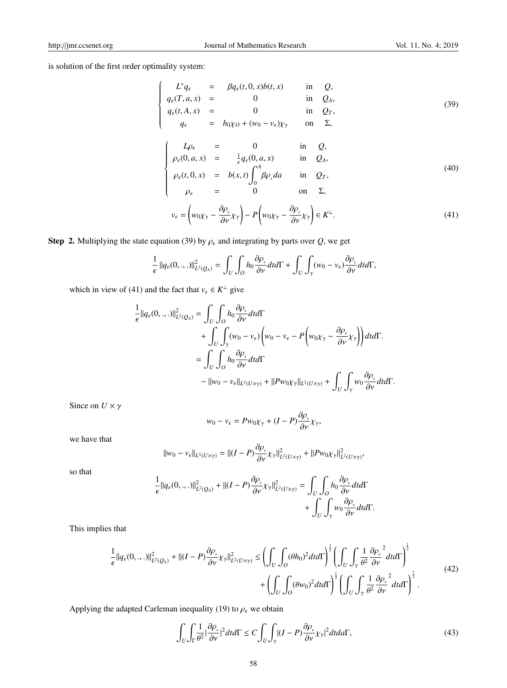is solution of the first order optimality system:

$$
\begin{cases}\nL^*q_{\epsilon} = \beta q_{\epsilon}(t, 0, x)b(t, x) & \text{in } Q, \\
q_{\epsilon}(T, a, x) = 0 & \text{in } Q_A, \\
q_{\epsilon}(t, A, x) = 0 & \text{in } Q_T, \\
q_{\epsilon} = h_0\chi_0 + (w_0 - v_{\epsilon})\chi_{\gamma} & \text{on } \Sigma,\n\end{cases}
$$
\n(39)

$$
\begin{cases}\nL\rho_{\epsilon} = 0 & \text{in } Q, \\
\rho_{\epsilon}(0, a, x) = \frac{1}{\epsilon}q_{\epsilon}(0, a, x) & \text{in } Q_A, \\
\rho_{\epsilon}(t, 0, x) = b(x, t)\int^A \beta \rho_{\epsilon} da & \text{in } Q_T,\n\end{cases}
$$
\n(40)

$$
\rho_{\epsilon}(t,0,x) = b(x,t) \int_0^t \beta \rho_{\epsilon} da \quad \text{in} \quad Q_T,
$$
\n
$$
\rho_{\epsilon} = 0 \quad \text{on} \quad \Sigma,
$$

$$
v_{\epsilon} = \left( w_0 \chi_{\gamma} - \frac{\partial \rho_{\epsilon}}{\partial \nu} \chi_{\gamma} \right) - P \left( w_0 \chi_{\gamma} - \frac{\partial \rho_{\epsilon}}{\partial \nu} \chi_{\gamma} \right) \in K^{\perp}.
$$
\n(41)

Step 2. Multiplying the state equation (39) by  $\rho_{\epsilon}$  and integrating by parts over *Q*, we get

$$
\frac{1}{\epsilon} ||q_{\epsilon}(0,..,.)||_{L^2(Q_A)}^2 = \int_U \int_O h_0 \frac{\partial \rho_{\epsilon}}{\partial \nu} dt d\Gamma + \int_U \int_{\gamma} (w_0 - v_{\epsilon}) \frac{\partial \rho_{\epsilon}}{\partial \nu} dt d\Gamma,
$$

which in view of (41) and the fact that  $v_{\epsilon} \in K^{\perp}$  give

$$
\frac{1}{\epsilon}||q_{\epsilon}(0,..,.)||_{L^{2}(Q_{A})}^{2} = \int_{U} \int_{O} h_{0} \frac{\partial \rho_{\epsilon}}{\partial v} dt d\Gamma
$$
\n
$$
+ \int_{U} \int_{\gamma} (w_{0} - v_{\epsilon}) \left( w_{0} - v_{\epsilon} - P \left( w_{0} \chi_{\gamma} - \frac{\partial \rho_{\epsilon}}{\partial v} \chi_{\gamma} \right) \right) dt d\Gamma.
$$
\n
$$
= \int_{U} \int_{O} h_{0} \frac{\partial \rho_{\epsilon}}{\partial v} dt d\Gamma
$$
\n
$$
- ||w_{0} - v_{\epsilon}||_{L^{2}(U \times \gamma)} + ||P w_{0} \chi_{\gamma}||_{L^{2}(U \times \gamma)} + \int_{U} \int_{\gamma} w_{0} \frac{\partial \rho_{\epsilon}}{\partial v} dt d\Gamma.
$$

Since on  $U \times \gamma$ 

$$
w_0 - v_{\epsilon} = P w_0 \chi_{\gamma} + (I - P) \frac{\partial \rho_{\epsilon}}{\partial v} \chi_{\gamma},
$$

we have that

$$
\|w_0-v_\epsilon\|_{L^2(U\times \gamma)}=\|(I-P)\frac{\partial \rho_\epsilon}{\partial v}\chi_\gamma\|^2_{L^2(U\times \gamma)}+\|Pw_0\chi_\gamma\|^2_{L^2(U\times \gamma)},
$$

so that

$$
\frac{1}{\epsilon}||q_{\epsilon}(0,..,.)||_{L^{2}(Q_{A})}^{2}+||(I-P)\frac{\partial \rho_{\epsilon}}{\partial v}\chi_{\gamma}||_{L^{2}(U\times \gamma)}^{2}=\int_{U}\int_{O}h_{0}\frac{\partial \rho_{\epsilon}}{\partial v}dtd\Gamma \\ +\int_{U}\int_{\gamma}w_{0}\frac{\partial \rho_{\epsilon}}{\partial v}dtd\Gamma.
$$

This implies that

$$
\frac{1}{\epsilon}||q_{\epsilon}(0,..,.)||_{L^{2}(Q_{A})}^{2}+||(I-P)\frac{\partial\rho_{\epsilon}}{\partial\nu}\chi_{\gamma}||_{L^{2}(U\times\gamma)}^{2} \leq \left(\int_{U}\int_{O}(\theta h_{0})^{2}dtd\Gamma\right)^{\frac{1}{2}}\left(\int_{U}\int_{\gamma}\frac{1}{\theta^{2}}\frac{\partial\rho_{\epsilon}^{2}}{\partial\nu}dtd\Gamma\right)^{\frac{1}{2}} + \left(\int_{U}\int_{O}(\theta w_{0})^{2}dtd\Gamma\right)^{\frac{1}{2}}\left(\int_{U}\int_{\gamma}\frac{1}{\theta^{2}}\frac{\partial\rho_{\epsilon}^{2}}{\partial\nu}dtd\Gamma\right)^{\frac{1}{2}}.
$$
\n(42)

Applying the adapted Carleman inequality (19) to  $\rho_{\epsilon}$  we obtain

$$
\int_{U} \int_{\Gamma} \frac{1}{\theta^{2}} \left| \frac{\partial \rho_{\epsilon}}{\partial \nu} \right|^{2} dt d\Gamma \le C \int_{U} \int_{\gamma} |(I - P) \frac{\partial \rho_{\epsilon}}{\partial \nu} \chi_{\gamma}|^{2} dt d\Omega, \tag{43}
$$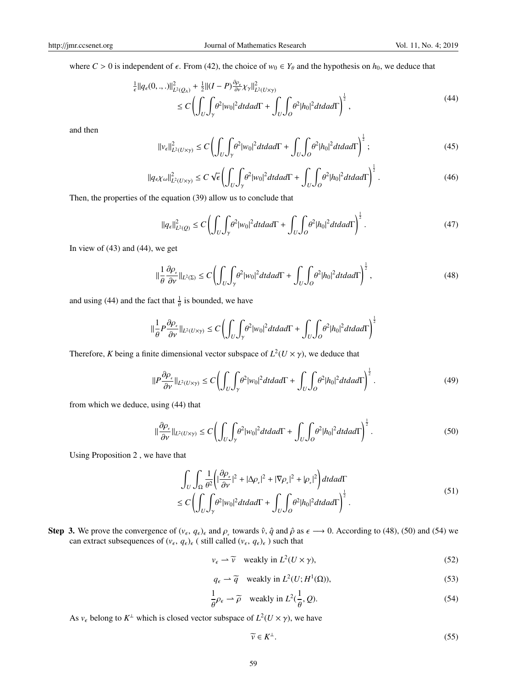where  $C > 0$  is independent of  $\epsilon$ . From (42), the choice of  $w_0 \in Y_\theta$  and the hypothesis on  $h_0$ , we deduce that

$$
\frac{1}{\epsilon} ||q_{\epsilon}(0,.,.)||_{L^{2}(Q_{A})}^{2} + \frac{1}{2} ||(I - P)\frac{\partial \rho_{\epsilon}}{\partial v} \chi_{\gamma}||_{L^{2}(U \times \gamma)}^{2} \n\leq C \left( \int_{U} \int_{\gamma} \theta^{2} |w_{0}|^{2} dt da d\Gamma + \int_{U} \int_{O} \theta^{2} |h_{0}|^{2} dt da d\Gamma \right)^{\frac{1}{2}},
$$
\n(44)

and then

$$
\|v_{\epsilon}\|_{L^2(U\times\gamma)}^2 \le C \left( \int_U \int_{\gamma} \theta^2 |w_0|^2 dt da d\Gamma + \int_U \int_{\theta} \theta^2 |h_0|^2 dt da d\Gamma \right)^{\frac{1}{2}}; \tag{45}
$$

$$
\|q_{\epsilon} \chi_{\omega}\|_{L^2(U \times \gamma)}^2 \le C \sqrt{\epsilon} \left( \int_U \int_{\gamma} \theta^2 |w_0|^2 dt da d\Gamma + \int_U \int_{\theta} \theta^2 |h_0|^2 dt da d\Gamma \right)^{\frac{1}{2}}.
$$
 (46)

Then, the properties of the equation (39) allow us to conclude that

$$
\|q_{\epsilon}\|_{L^2(Q)}^2 \le C \left(\int_U \int_\gamma \theta^2 |w_0|^2 dt da d\Gamma + \int_U \int_Q \theta^2 |h_0|^2 dt da d\Gamma\right)^{\frac{1}{2}}.
$$
\n(47)

In view of (43) and (44), we get

$$
\|\frac{1}{\theta}\frac{\partial\rho_{\varepsilon}}{\partial\nu}\|_{L^{2}(\Sigma)} \le C\left(\int_{U}\int_{\gamma}\theta^{2}|w_{0}|^{2}dtdad\Gamma + \int_{U}\int_{O}\theta^{2}|h_{0}|^{2}dtdad\Gamma\right)^{\frac{1}{2}},\tag{48}
$$

and using (44) and the fact that  $\frac{1}{\theta}$  is bounded, we have

$$
\|\frac{1}{\theta}P\frac{\partial \rho_{\epsilon}}{\partial \nu}\|_{L^2(U\times \gamma)} \leq C\left(\int_U \int_{\gamma} \theta^2 |w_0|^2 dt da d\Gamma + \int_U \int_{O} \theta^2 |h_0|^2 dt da d\Gamma\right)^{\frac{1}{2}}
$$

Therefore, *K* being a finite dimensional vector subspace of  $L^2(U \times \gamma)$ , we deduce that

$$
\|P\frac{\partial \rho_{\epsilon}}{\partial \nu}\|_{L^{2}(U\times\gamma)} \le C \left(\int_{U} \int_{\gamma} \theta^{2} |w_{0}|^{2} dt da d\Gamma + \int_{U} \int_{O} \theta^{2} |h_{0}|^{2} dt da d\Gamma\right)^{\frac{1}{2}}.
$$
\n(49)

from which we deduce, using (44) that

$$
\|\frac{\partial \rho_{\epsilon}}{\partial v}\|_{L^2(U\times \gamma)} \le C \left(\int_U \int_{\gamma} \theta^2 |w_0|^2 dt da d\Gamma + \int_U \int_{\theta} \theta^2 |h_0|^2 dt da d\Gamma\right)^{\frac{1}{2}}.
$$
\n(50)

Using Proposition 2 , we have that

$$
\int_{U} \int_{\Omega} \frac{1}{\theta^{2}} \left( |\frac{\partial \rho_{\epsilon}}{\partial \nu}|^{2} + |\Delta \rho_{\epsilon}|^{2} + |\nabla \rho_{\epsilon}|^{2} + |\rho_{\epsilon}|^{2} \right) dt da d\Gamma
$$
\n
$$
\leq C \left( \int_{U} \int_{\gamma} \theta^{2} |w_{0}|^{2} dt da d\Gamma + \int_{U} \int_{O} \theta^{2} |h_{0}|^{2} dt da d\Gamma \right)^{\frac{1}{2}}.
$$
\n(51)

Step 3. We prove the convergence of  $(v_\epsilon, q_\epsilon)_\epsilon$  and  $\rho_\epsilon$  towards  $\hat{v}$ ,  $\hat{q}$  and  $\hat{\rho}$  as  $\epsilon \longrightarrow 0$ . According to (48), (50) and (54) we can extract subsequences of  $(v_\epsilon, q_\epsilon)_\epsilon$  (still called  $(v_\epsilon, q_\epsilon)_\epsilon$ ) such that

$$
v_{\epsilon} \rightharpoonup \widetilde{v} \quad \text{weakly in } L^2(U \times \gamma), \tag{52}
$$

$$
q_{\epsilon} \rightharpoonup \widetilde{q} \quad \text{weakly in } L^2(U; H^1(\Omega)), \tag{53}
$$

$$
\frac{1}{\theta}\rho_{\epsilon} \rightharpoonup \widetilde{\rho} \quad \text{weakly in } L^2(\frac{1}{\theta}, Q). \tag{54}
$$

As  $v_{\epsilon}$  belong to  $K^{\perp}$  which is closed vector subspace of  $L^2(U \times \gamma)$ , we have

$$
\widetilde{\nu} \in K^{\perp}.
$$
\n<sup>(55)</sup>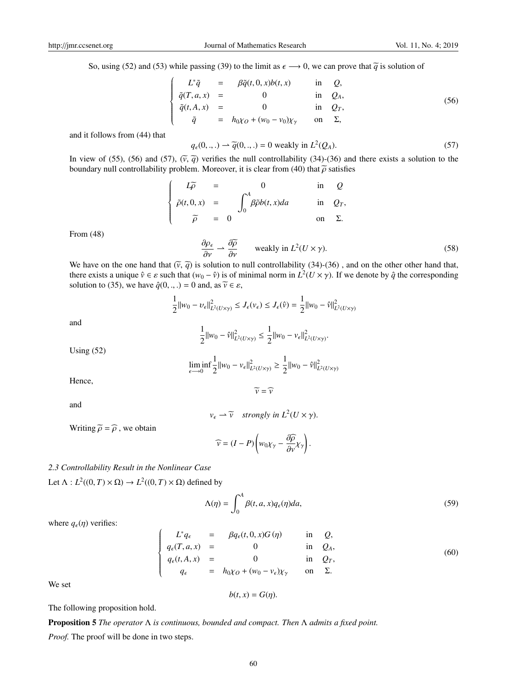So, using (52) and (53) while passing (39) to the limit as  $\epsilon \rightarrow 0$ , we can prove that  $\tilde{q}$  is solution of

$$
\begin{cases}\nL^*\tilde{q} = \beta \tilde{q}(t, 0, x)b(t, x) & \text{in } Q, \\
\tilde{q}(T, a, x) = 0 & \text{in } Q_A, \\
\tilde{q}(t, A, x) = 0 & \text{in } Q_T, \\
\tilde{q} = h_0\chi_0 + (w_0 - v_0)\chi_\gamma & \text{on } \Sigma,\n\end{cases}
$$
\n(56)

and it follows from (44) that

$$
q_{\epsilon}(0, \ldots) \to \widetilde{q}(0, \ldots) = 0 \text{ weakly in } L^{2}(Q_{A}).
$$
\n
$$
(57)
$$

In view of (55), (56) and (57),  $(\bar{v}, \bar{q})$  verifies the null controllability (34)-(36) and there exists a solution to the houndary null controllability problem. Moreover it is clear from (40) that  $\bar{\alpha}$  satisfies boundary null controllability problem. Moreover, it is clear from (40) that  $\tilde{\rho}$  satisfies

$$
\begin{cases}\nL\widetilde{\rho} = 0 & \text{in } Q \\
\widetilde{\rho}(t,0,x) = \int_0^A \beta \widetilde{\rho} b(t,x) da & \text{in } Q_T, \\
\widetilde{\rho} = 0 & \text{on } \Sigma.\n\end{cases}
$$

From (48)

$$
\frac{\partial \rho_{\epsilon}}{\partial v} \rightharpoonup \frac{\partial \widetilde{\rho}}{\partial v} \qquad \text{weakly in } L^2(U \times \gamma). \tag{58}
$$

We have on the one hand that  $(\tilde{v}, \tilde{q})$  is solution to null controllability (34)-(36), and on the other other hand that, there exists a unique  $\hat{v} \in \varepsilon$  such that  $(w_0 - \hat{v})$  is of minimal norm in  $L^2(U \times \gamma)$ . If we denote by  $\hat{q}$  the corresponding solution to (35), we have  $\hat{q}(0, \ldots) = 0$  and, as  $\tilde{v} \in \varepsilon$ ,

$$
\frac{1}{2}||w_0 - v_{\epsilon}||_{L^2(U \times \gamma)}^2 \le J_{\epsilon}(v_{\epsilon}) \le J_{\epsilon}(\hat{v}) = \frac{1}{2}||w_0 - \hat{v}||_{L^2(U \times \gamma)}^2
$$

and

$$
\frac{1}{2}||w_0 - \hat{v}||^2_{L^2(U \times \gamma)} \le \frac{1}{2}||w_0 - v_{\epsilon}||^2_{L^2(U \times \gamma)}.
$$

Using (52)

$$
\liminf_{\epsilon \to 0} \frac{1}{2} ||w_0 - v_{\epsilon}||^2_{L^2(U \times \gamma)} \ge \frac{1}{2} ||w_0 - \hat{v}||^2_{L^2(U \times \gamma)}
$$

Hence,

and

$$
v_{\epsilon} \rightharpoonup \widetilde{v} \quad \text{strongly in } L^2(U \times \gamma).
$$

 $\widetilde{v} = \widehat{v}$ 

Writing 
$$
\tilde{\rho} = \hat{\rho}
$$
, we obtain

$$
\widehat{v} = (I - P) \left( w_0 \chi_\gamma - \frac{\partial \widehat{\rho}}{\partial v} \chi_\gamma \right).
$$

## *2.3 Controllability Result in the Nonlinear Case*

Let  $\Lambda: L^2((0, T) \times \Omega) \to L^2((0, T) \times \Omega)$  defined by

$$
\Lambda(\eta) = \int_0^A \beta(t, a, x) q_{\epsilon}(\eta) da,
$$
\n(59)

where  $q_{\epsilon}(\eta)$  verifies:

$$
\begin{cases}\nL^*q_{\epsilon} = \beta q_{\epsilon}(t, 0, x)G(\eta) & \text{in } Q, \\
q_{\epsilon}(T, a, x) = 0 & \text{in } Q_A, \\
q_{\epsilon}(t, A, x) = 0 & \text{in } Q_T, \\
q_{\epsilon} = h_0\chi_0 + (w_0 - v_{\epsilon})\chi_{\gamma} & \text{on } \Sigma.\n\end{cases}
$$
\n(60)

We set

$$
b(t,x)=G(\eta).
$$

The following proposition hold.

Proposition 5 *The operator* Λ *is continuous, bounded and compact. Then* Λ *admits a fixed point. Proof.* The proof will be done in two steps.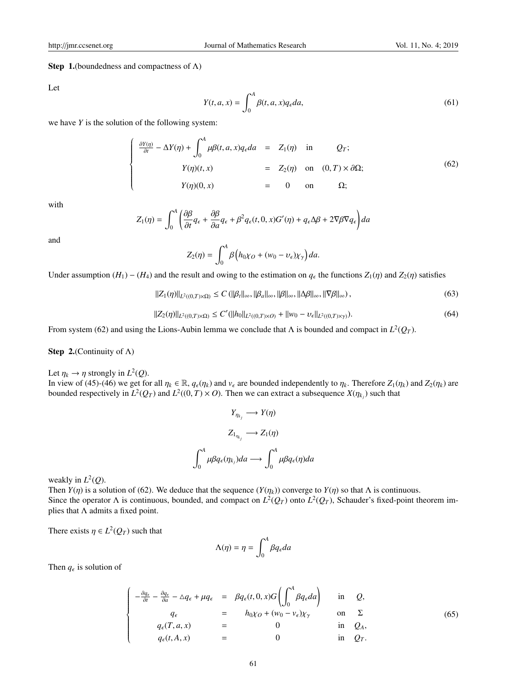## **Step 1.**(boundedness and compactness of  $\Lambda$ )

Let

$$
Y(t, a, x) = \int_0^A \beta(t, a, x) q_\epsilon da,\tag{61}
$$

we have *Y* is the solution of the following system:

$$
\begin{cases}\n\frac{\partial Y(\eta)}{\partial t} - \Delta Y(\eta) + \int_0^A \mu \beta(t, a, x) q_{\epsilon} da & = Z_1(\eta) \quad \text{in} \quad Q_T; \\
Y(\eta)(t, x) & = Z_2(\eta) \quad \text{on} \quad (0, T) \times \partial \Omega; \\
Y(\eta)(0, x) & = 0 \quad \text{on} \quad \Omega;\n\end{cases}
$$
\n(62)

with

$$
Z_1(\eta) = \int_0^A \left( \frac{\partial \beta}{\partial t} q_{\epsilon} + \frac{\partial \beta}{\partial a} q_{\epsilon} + \beta^2 q_{\epsilon}(t, 0, x) G'(\eta) + q_{\epsilon} \Delta \beta + 2 \nabla \beta \nabla q_{\epsilon} \right) da
$$

and

$$
Z_2(\eta) = \int_0^A \beta \left( h_0 \chi_O + (w_0 - v_\epsilon) \chi_\gamma \right) da.
$$

Under assumption  $(H_1) - (H_4)$  and the result and owing to the estimation on  $q_\epsilon$  the functions  $Z_1(\eta)$  and  $Z_2(\eta)$  satisfies

$$
||Z_1(\eta)||_{L^2((0,T)\times\Omega)} \le C \left( ||\beta_t||_{\infty}, ||\beta_t||_{\infty}, ||\beta||_{\infty}, ||\Delta\beta||_{\infty}, ||\nabla\beta||_{\infty} \right),\tag{63}
$$

$$
||Z_2(\eta)||_{L^2((0,T)\times\Omega)} \le C'(||h_0||_{L^2((0,T)\times O)} + ||w_0 - v_\epsilon||_{L^2((0,T)\times\gamma)}).
$$
\n(64)

From system (62) and using the Lions-Aubin lemma we conclude that  $\Lambda$  is bounded and compact in  $L^2(Q_T)$ .

**Step 2.**(Continuity of  $\Lambda$ )

Let  $\eta_k \to \eta$  strongly in  $L^2(Q)$ .

In view of (45)-(46) we get for all  $\eta_k \in \mathbb{R}$ ,  $q_{\epsilon}(\eta_k)$  and  $v_{\epsilon}$  are bounded independently to  $\eta_k$ . Therefore  $Z_1(\eta_k)$  and  $Z_2(\eta_k)$  are bounded respectively in  $L^2(Q_T)$  and  $L^2((0,T) \times O)$ . Then we can extract a subsequence  $X(\eta_{k_j})$  such that

$$
Y_{\eta_{k_j}} \longrightarrow Y(\eta)
$$

$$
Z_{1_{\eta_{k_j}}} \longrightarrow Z_1(\eta)
$$

$$
\int_0^A \mu \beta q_{\epsilon}(\eta_{k_j}) da \longrightarrow \int_0^A \mu \beta q_{\epsilon}(\eta) da
$$

weakly in *L* 2 (*Q*).

Then *Y*(*η*) is a solution of (62). We deduce that the sequence  $(Y(\eta_k))$  converge to *Y*(*η*) so that Λ is continuous. Since the operator  $\Lambda$  is continuous, bounded, and compact on  $L^2(Q_T)$  onto  $L^2(Q_T)$ , Schauder's fixed-point theorem implies that  $\Lambda$  admits a fixed point.

There exists  $\eta \in L^2(Q_T)$  such that

$$
\Lambda(\eta) = \eta = \int_0^A \beta q_\epsilon da
$$

Then  $q_{\epsilon}$  is solution of

$$
\begin{cases}\n-\frac{\partial q_{\epsilon}}{\partial t} - \frac{\partial q_{\epsilon}}{\partial a} - \Delta q_{\epsilon} + \mu q_{\epsilon} & = \beta q_{\epsilon}(t, 0, x)G\left(\int_0^A \beta q_{\epsilon} da\right) & \text{in } Q, \\
q_{\epsilon} & = h_0 \chi_0 + (w_0 - v_{\epsilon}) \chi_{\gamma} & \text{on } \Sigma \\
q_{\epsilon}(T, a, x) & = 0 & \text{in } Q_A, \\
q_{\epsilon}(t, A, x) & = 0 & \text{in } Q_T.\n\end{cases}
$$
\n(65)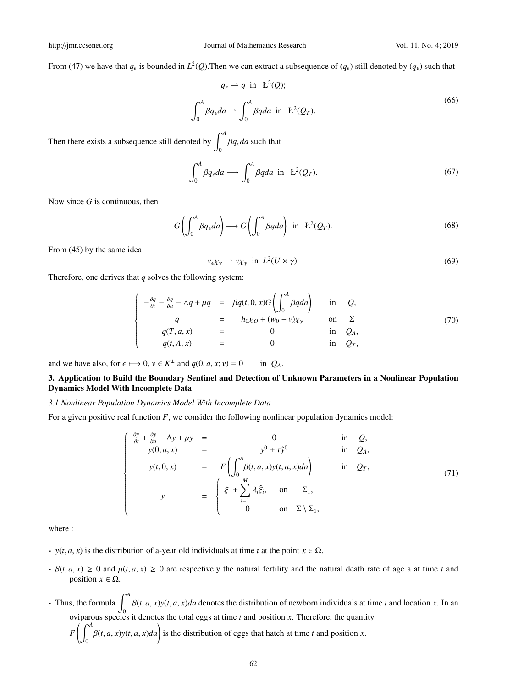From (47) we have that  $q_\epsilon$  is bounded in  $L^2(Q)$ . Then we can extract a subsequence of  $(q_\epsilon)$  still denoted by  $(q_\epsilon)$  such that

$$
q_{\epsilon} \to q \text{ in } L^{2}(Q);
$$
  

$$
\int_{0}^{A} \beta q_{\epsilon} da \to \int_{0}^{A} \beta q da \text{ in } L^{2}(Q_{T}).
$$
 (66)

Then there exists a subsequence still denoted by <sup>∫</sup> *<sup>A</sup>*  $\int_{0}^{\pi} \beta q_{\epsilon} da$  such that

$$
\int_0^A \beta q_\epsilon da \longrightarrow \int_0^A \beta q da \text{ in } L^2(Q_T). \tag{67}
$$

Now since *G* is continuous, then

$$
G\left(\int_0^A \beta q_\epsilon da\right) \longrightarrow G\left(\int_0^A \beta q da\right) \text{ in } L^2(Q_T). \tag{68}
$$

From (45) by the same idea

$$
v_{\epsilon} \chi_{\gamma} \rightharpoonup v \chi_{\gamma} \text{ in } L^2(U \times \gamma). \tag{69}
$$

Therefore, one derives that *q* solves the following system:

$$
\begin{cases}\n-\frac{\partial q}{\partial t} - \frac{\partial q}{\partial a} - \Delta q + \mu q &= \beta q(t, 0, x) G \left( \int_0^A \beta q da \right) & \text{in} \quad Q, \\
q &= h_0 \chi_0 + (w_0 - v) \chi_\gamma & \text{on} \quad \Sigma \\
q(T, a, x) &= 0 & \text{in} \quad Q_A, \\
q(t, A, x) &= 0 & \text{in} \quad Q_T,\n\end{cases}
$$
\n(70)

and we have also, for  $\epsilon \mapsto 0$ ,  $v \in K^{\perp}$  and  $q(0, a, x; v) = 0$  in  $Q_A$ .

## 3. Application to Build the Boundary Sentinel and Detection of Unknown Parameters in a Nonlinear Population Dynamics Model With Incomplete Data

## *3.1 Nonlinear Population Dynamics Model With Incomplete Data*

For a given positive real function *F*, we consider the following nonlinear population dynamics model:

$$
\begin{cases}\n\frac{\partial y}{\partial t} + \frac{\partial y}{\partial a} - \Delta y + \mu y &= 0 & \text{in } Q, \\
y(0, a, x) &= F\left(\int_0^A \beta(t, a, x)y(t, a, x) da\right) & \text{in } Q_A, \\
y(t, 0, x) &= F\left(\int_0^A \beta(t, a, x)y(t, a, x) da\right) & \text{in } Q_T,\n\end{cases}
$$
\n(71)

where :

 $\mathbf{0}$ 

- *y*(*t*, *a*, *x*) is the distribution of a-year old individuals at time *t* at the point  $x \in \Omega$ .
- $-\beta(t, a, x) \ge 0$  and  $\mu(t, a, x) \ge 0$  are respectively the natural fertility and the natural death rate of age a at time *t* and position  $x \in \Omega$ .
- Thus, the formula  $\int_{0}^{A}$  $\boldsymbol{0}$  $\beta(t, a, x)$ *y*(*t*, *a*, *x*)*da* denotes the distribution of newborn individuals at time *t* and location *x*. In an oviparous species it denotes the total eggs at time *t* and position *x*. Therefore, the quantity  $F\left(\right)$ <sup>A</sup>  $\beta(t, a, x) y(t, a, x) da$  is the distribution of eggs that hatch at time *t* and position *x*.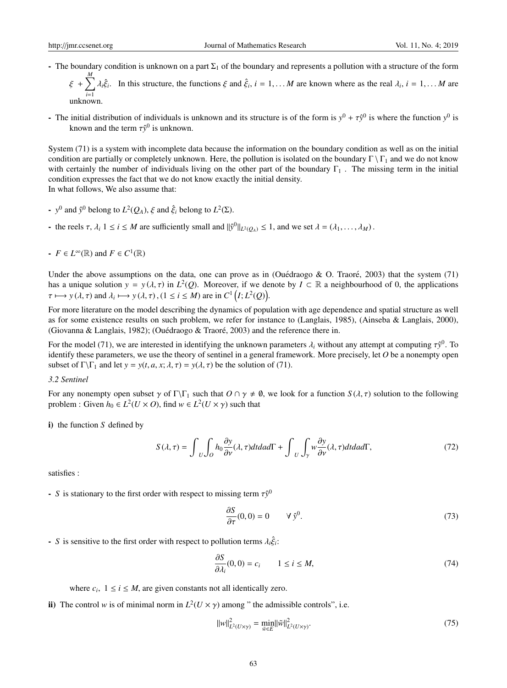unknown.

- The boundary condition is unknown on a part  $\Sigma_1$  of the boundary and represents a pollution with a structure of the form ξ + ∑ *M i*=1  $\lambda_i \hat{\xi}_i$ . In this structure, the functions  $\xi$  and  $\hat{\xi}_i$ ,  $i = 1, \dots M$  are known where as the real  $\lambda_i$ ,  $i = 1, \dots M$  are
- The initial distribution of individuals is unknown and its structure is of the form is  $y^0 + \tau \hat{y}^0$  is where the function  $y^0$  is known and the term  $\tau \hat{y}^0$  is unknown.

System (71) is a system with incomplete data because the information on the boundary condition as well as on the initial condition are partially or completely unknown. Here, the pollution is isolated on the boundary  $\Gamma \setminus \Gamma_1$  and we do not know with certainly the number of individuals living on the other part of the boundary  $\Gamma_1$ . The missing term in the initial condition expresses the fact that we do not know exactly the initial density. In what follows, We also assume that:

- $-y^0$  and  $\hat{y}^0$  belong to  $L^2(Q_A)$ ,  $\xi$  and  $\hat{\xi}_i$  belong to  $L^2(\Sigma)$ .
- the reels  $\tau$ ,  $\lambda_i$   $1 \le i \le M$  are sufficiently small and  $||\hat{y}^0||_{L^2(Q_A)} \le 1$ , and we set  $\lambda = (\lambda_1, \dots, \lambda_M)$ .
- *F* ∈ *L*<sup>∞</sup>(ℝ) and *F* ∈ *C*<sup>1</sup>(ℝ)

Under the above assumptions on the data, one can prove as in (Ouédraogo & O. Traoré, 2003) that the system (71) has a unique solution  $y = y(\lambda, \tau)$  in  $L^2(Q)$ . Moreover, if we denote by  $I \subset \mathbb{R}$  a neighbourhood of 0, the applications  $\tau \mapsto y(\lambda, \tau)$  and  $\lambda_i \mapsto y(\lambda, \tau)$ ,  $(1 \le i \le M)$  are in  $C^1(I; L^2(Q))$ .

For more literature on the model describing the dynamics of population with age dependence and spatial structure as well as for some existence results on such problem, we refer for instance to (Langlais, 1985), (Ainseba & Langlais, 2000), (Giovanna & Langlais, 1982); (Ouédraogo & Traoré, 2003) and the reference there in.

For the model (71), we are interested in identifying the unknown parameters  $\lambda_i$  without any attempt at computing  $\tau\hat{y}^0$ . To identify these parameters, we use the theory of sentinel in a general framework. More precisely, let *O* be a nonempty open subset of  $\Gamma \backslash \Gamma_1$  and let  $y = y(t, a, x; \lambda, \tau) = y(\lambda, \tau)$  be the solution of (71).

#### *3.2 Sentinel*

For any nonempty open subset  $\gamma$  of  $\Gamma\backslash\Gamma_1$  such that  $O \cap \gamma \neq \emptyset$ , we look for a function  $S(\lambda, \tau)$  solution to the following problem : Given  $h_0 \in L^2(U \times O)$ , find  $w \in L^2(U \times \gamma)$  such that

i) the function *S* defined by

$$
S(\lambda,\tau) = \int_{U} \int_{O} h_0 \frac{\partial y}{\partial \nu}(\lambda,\tau) dt da d\Gamma + \int_{U} \int_{\gamma} w \frac{\partial y}{\partial \nu}(\lambda,\tau) dt da d\Gamma, \tag{72}
$$

satisfies :

- *S* is stationary to the first order with respect to missing term  $\tau \hat{y}^0$ 

$$
\frac{\partial S}{\partial \tau}(0,0) = 0 \qquad \forall \hat{y}^0. \tag{73}
$$

- *S* is sensitive to the first order with respect to pollution terms  $\lambda_i \hat{\xi}_i$ :

$$
\frac{\partial S}{\partial \lambda_i}(0,0) = c_i \qquad 1 \le i \le M,\tag{74}
$$

where  $c_i$ ,  $1 \le i \le M$ , are given constants not all identically zero.

ii) The control *w* is of minimal norm in  $L^2(U \times \gamma)$  among " the admissible controls", i.e.

$$
||w||_{L^{2}(U\times\gamma)}^{2} = \min_{\tilde{w}\in E} ||\tilde{w}||_{L^{2}(U\times\gamma)}^{2}.
$$
 (75)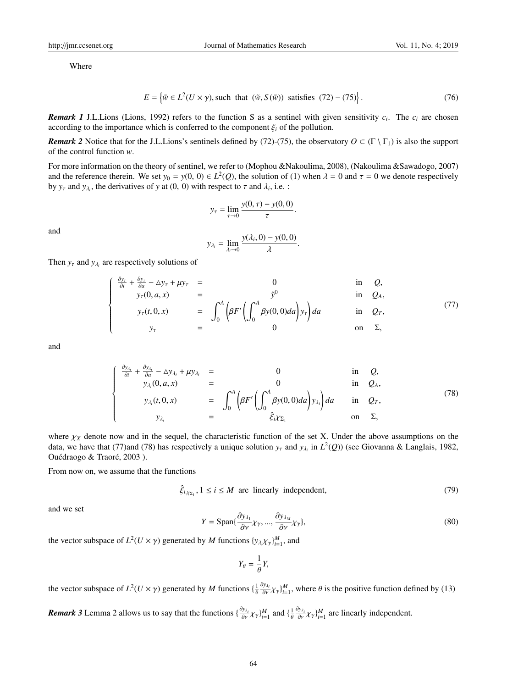Where

$$
E = \left\{ \tilde{w} \in L^2(U \times \gamma), \text{ such that } (\tilde{w}, S(\tilde{w})) \text{ satisfies } (72) - (75) \right\}. \tag{76}
$$

.

*Remark 1* J.L.Lions (Lions, 1992) refers to the function S as a sentinel with given sensitivity *c<sup>i</sup>* . The *c<sup>i</sup>* are chosen according to the importance which is conferred to the component  $\xi_i$  of the pollution.

*Remark 2* Notice that for the J.L.Lions's sentinels defined by (72)-(75), the observatory  $O \subset (\Gamma \setminus \Gamma_1)$  is also the support of the control function *w*.

For more information on the theory of sentinel, we refer to (Mophou &Nakoulima, 2008), (Nakoulima &Sawadogo, 2007) and the reference therein. We set  $y_0 = y(0, 0) \in L^2(Q)$ , the solution of (1) when  $\lambda = 0$  and  $\tau = 0$  we denote respectively by  $y_\tau$  and  $y_{\lambda_i}$ , the derivatives of y at (0, 0) with respect to  $\tau$  and  $\lambda_i$ , i.e. :

$$
y_{\tau} = \lim_{\tau \to 0} \frac{y(0, \tau) - y(0, 0)}{\tau}
$$

and

$$
y_{\lambda_i} = \lim_{\lambda_i \to 0} \frac{y(\lambda_i, 0) - y(0, 0)}{\lambda}.
$$

Then  $y_{\tau}$  and  $y_{\lambda_i}$  are respectively solutions of

$$
\begin{cases}\n\frac{\partial y_{\tau}}{\partial t} + \frac{\partial y_{\tau}}{\partial a} - \Delta y_{\tau} + \mu y_{\tau} & = & 0 & \text{in } Q, \\
y_{\tau}(0, a, x) & = & \hat{y}^{0} & \text{in } Q_{A}, \\
y_{\tau}(t, 0, x) & = & \int_{0}^{A} \left( \beta F' \left( \int_{0}^{A} \beta y(0, 0) da \right) y_{\tau} \right) da & \text{in } Q_{\tau}, \\
y_{\tau} & = & 0 & \text{on } \Sigma,\n\end{cases}
$$
\n(77)

and

$$
\begin{cases}\n\frac{\partial y_{\lambda_i}}{\partial t} + \frac{\partial y_{\lambda_i}}{\partial a} - \Delta y_{\lambda_i} + \mu y_{\lambda_i} & = & 0 & \text{in } Q, \\
y_{\lambda_i}(0, a, x) & = & 0 & \text{in } Q_A, \\
y_{\lambda_i}(t, 0, x) & = & \int_0^A \left(\beta F' \left(\int_0^A \beta y(0, 0) da\right) y_{\lambda_i}\right) da & \text{in } Q_T, \\
y_{\lambda_i} & = & \hat{\xi}_i \chi_{\Sigma_1} & \text{on } \Sigma,\n\end{cases}
$$
\n(78)

where  $\chi_X$  denote now and in the sequel, the characteristic function of the set X. Under the above assumptions on the data, we have that (77)and (78) has respectively a unique solution  $y_\tau$  and  $y_{\lambda_i}$  in  $L^2(Q)$ ) (see Giovanna & Langlais, 1982, Ouédraogo & Traoré, 2003).

From now on, we assume that the functions

$$
\hat{\xi}_{i,\chi_{\Sigma_1}}, 1 \le i \le M \text{ are linearly independent}, \tag{79}
$$

and we set

$$
Y = \text{Span}\{\frac{\partial y_{\lambda_1}}{\partial \nu} \chi_{\gamma}, ..., \frac{\partial y_{\lambda_M}}{\partial \nu} \chi_{\gamma}\},\tag{80}
$$

the vector subspace of  $L^2(U \times \gamma)$  generated by *M* functions  $\{y_{\lambda_i} \chi_\gamma\}_{i=1}^M$ , and

$$
Y_\theta = \frac{1}{\theta} Y,
$$

the vector subspace of  $L^2(U \times \gamma)$  generated by *M* functions  $\{\frac{1}{\theta} \frac{\partial y_{\lambda_i}}{\partial v} \chi_{\gamma}\}_{i=1}^M$ , where  $\theta$  is the positive function defined by (13)

*Remark 3* Lemma 2 allows us to say that the functions  $\{\frac{\partial y_{\lambda_i}}{\partial y} \chi_{\gamma}\}_{i=1}^M$  and  $\{\frac{1}{\theta} \frac{\partial y_{\lambda_i}}{\partial y} \chi_{\gamma}\}_{i=1}^M$  are linearly independent.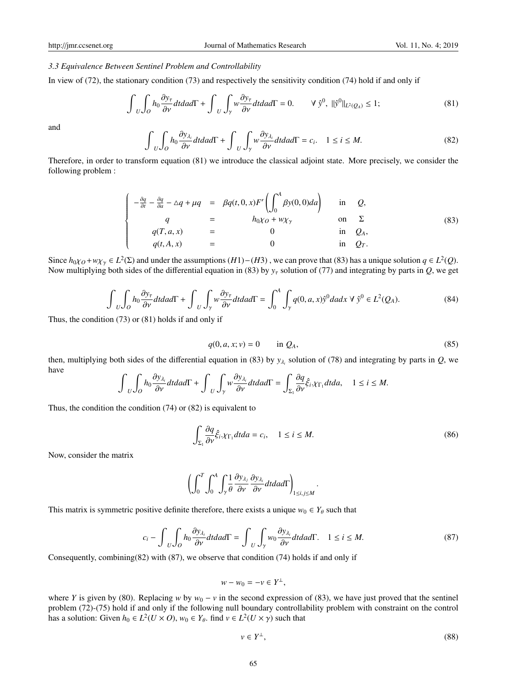## *3.3 Equivalence Between Sentinel Problem and Controllability*

In view of (72), the stationary condition (73) and respectively the sensitivity condition (74) hold if and only if

$$
\int_{U} \int_{O} h_0 \frac{\partial y_{\tau}}{\partial \nu} dt da d\Gamma + \int_{U} \int_{\gamma} w \frac{\partial y_{\tau}}{\partial \nu} dt da d\Gamma = 0. \qquad \forall \hat{y}^{0}, \ ||\hat{y}^{0}||_{L^2(Q_A)} \le 1; \tag{81}
$$

and

$$
\int_{U} \int_{O} h_0 \frac{\partial y_{\lambda_i}}{\partial v} dt da d\Gamma + \int_{U} \int_{\gamma} w \frac{\partial y_{\lambda_i}}{\partial v} dt da d\Gamma = c_i, \quad 1 \le i \le M.
$$
\n(82)

Therefore, in order to transform equation (81) we introduce the classical adjoint state. More precisely, we consider the following problem :

$$
\begin{cases}\n-\frac{\partial q}{\partial t} - \frac{\partial q}{\partial a} - \Delta q + \mu q &= \beta q(t, 0, x) F' \left( \int_0^A \beta y(0, 0) da \right) & \text{in } Q, \\
q &= h_0 \chi_0 + w \chi_\gamma & \text{on } \Sigma \\
q(T, a, x) &= 0 & \text{in } Q_A, \\
q(t, A, x) &= 0 & \text{in } Q_T.\n\end{cases}
$$
\n(83)

Since  $h_{0}\chi_0 + w\chi_\gamma \in L^2(\Sigma)$  and under the assumptions (*H*1)−(*H*3), we can prove that (83) has a unique solution  $q \in L^2(Q)$ . Now multiplying both sides of the differential equation in (83) by  $y<sub>\tau</sub>$  solution of (77) and integrating by parts in *Q*, we get

$$
\int_{U} \int_{O} h_0 \frac{\partial y_{\tau}}{\partial \nu} dt da d\Gamma + \int_{U} \int_{\gamma} w \frac{\partial y_{\tau}}{\partial \nu} dt da d\Gamma = \int_{0}^{A} \int_{\gamma} q(0, a, x) \hat{y}^{0} da dx \ \forall \ \hat{y}^{0} \in L^{2}(Q_{A}).
$$
\n(84)

Thus, the condition (73) or (81) holds if and only if

$$
q(0, a, x; v) = 0 \qquad \text{in } Q_A,\tag{85}
$$

then, multiplying both sides of the differential equation in (83) by  $y_{\lambda_i}$  solution of (78) and integrating by parts in *Q*, we have

$$
\int_{U} \int_{O} h_0 \frac{\partial y_{\lambda_i}}{\partial v} dt da d\Gamma + \int_{U} \int_{\gamma} w \frac{\partial y_{\lambda_i}}{\partial v} dt da d\Gamma = \int_{\Sigma_1} \frac{\partial q}{\partial v} \hat{\xi}_i \cdot \chi_{\Gamma_1} dt da, \quad 1 \leq i \leq M.
$$

Thus, the condition the condition (74) or (82) is equivalent to

$$
\int_{\Sigma_1} \frac{\partial q}{\partial \nu} \hat{\xi}_i \chi_{\Gamma_1} dt da = c_i, \quad 1 \le i \le M.
$$
\n(86)

.

Now, consider the matrix

$$
\left(\int_0^T \int_0^A \int_\gamma \frac{1}{\theta} \frac{\partial y_{\lambda_j}}{\partial \nu} \frac{\partial y_{\lambda_l}}{\partial \nu} dt da d\Gamma\right)_{1 \le i,j \le M}
$$

This matrix is symmetric positive definite therefore, there exists a unique  $w_0 \in Y_\theta$  such that

$$
c_i - \int_{U} \int_{O} h_0 \frac{\partial y_{\lambda_i}}{\partial \nu} dt da d\Gamma = \int_{U} \int_{\gamma} w_0 \frac{\partial y_{\lambda_i}}{\partial \nu} dt da d\Gamma. \quad 1 \le i \le M.
$$
 (87)

Consequently, combining(82) with (87), we observe that condition (74) holds if and only if

$$
w - w_0 = -v \in Y^{\perp},
$$

where *Y* is given by (80). Replacing *w* by  $w_0 - v$  in the second expression of (83), we have just proved that the sentinel problem (72)-(75) hold if and only if the following null boundary controllability problem with constraint on the control has a solution: Given  $h_0 \in L^2(U \times O)$ ,  $w_0 \in Y_\theta$ . find  $v \in L^2(U \times \gamma)$  such that

$$
v \in Y^{\perp}, \tag{88}
$$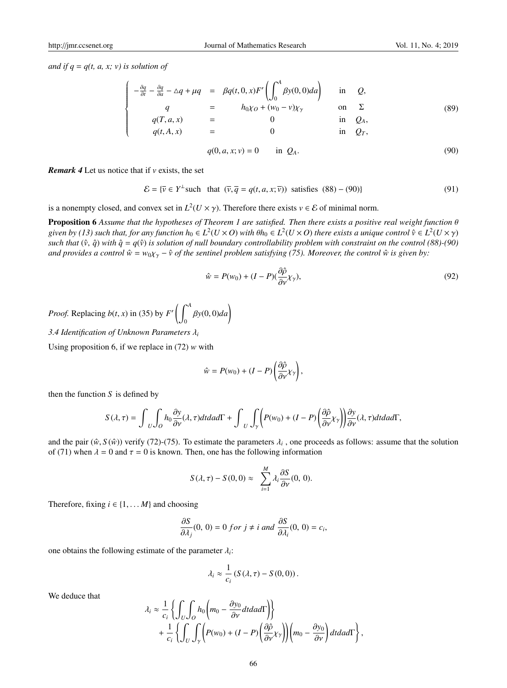*and if*  $q = q(t, a, x; v)$  *is solution of* 

$$
\begin{cases}\n-\frac{\partial q}{\partial t} - \frac{\partial q}{\partial a} - \Delta q + \mu q &= \beta q(t, 0, x) F' \left( \int_0^A \beta y(0, 0) da \right) & \text{in} \quad Q, \\
q &= h_0 \chi_0 + (w_0 - v) \chi_\gamma & \text{on} \quad \Sigma \\
q(T, a, x) &= 0 & \text{in} \quad Q_A, \\
q(t, A, x) &= 0 & \text{in} \quad Q_T,\n\end{cases}
$$
\n(89)

$$
q(0, a, x; v) = 0 \quad \text{in } Q_A. \tag{90}
$$

*Remark 4* Let us notice that if *v* exists, the set

$$
\mathcal{E} = \{ \overline{\nu} \in Y^{\perp} \text{ such that } (\overline{\nu}, \overline{q} = q(t, a, x; \overline{\nu})) \text{ satisfies } (88) - (90) \}
$$
(91)

is a nonempty closed, and convex set in  $L^2(U \times \gamma)$ . Therefore there exists  $v \in \mathcal{E}$  of minimal norm.

Proposition 6 *Assume that the hypotheses of Theorem 1 are satisfied. Then there exists a positive real weight function* θ given by (13) such that, for any function  $h_0 \in L^2(U\times O)$  with  $\theta h_0\in L^2(U\times O)$  there exists a unique control  $\hat{v}\in L^2(U\times \gamma)$ *such that*  $(\hat{v}, \hat{q})$  *with*  $\hat{q} = q(\hat{v})$  *is solution of null boundary controllability problem with constraint on the control (88)-(90) and provides a control*  $\hat{w} = w_0 \chi_\gamma - \hat{v}$  *of the sentinel problem satisfying (75). Moreover, the control*  $\hat{w}$  *is given by:* 

$$
\hat{w} = P(w_0) + (I - P)\left(\frac{\partial \hat{\rho}}{\partial \nu} \chi_{\gamma}\right),\tag{92}
$$

*Proof.* Replacing *b*(*t*, *x*) in (35) by  $F'$   $\left( \int_0^A$  $\mathbf{0}$ <sup>β</sup>*y*(0, 0)*da*)

*3.4 Identification of Unknown Parameters* λ*<sup>i</sup>*

Using proposition 6, if we replace in (72) *w* with

$$
\hat{w} = P(w_0) + (I - P) \left( \frac{\partial \hat{\rho}}{\partial v} \chi_{\gamma} \right),
$$

then the function  $S$  is defined by

$$
S(\lambda, \tau) = \int_{U} \int_{O} h_0 \frac{\partial y}{\partial \nu}(\lambda, \tau) dt da d\Gamma + \int_{U} \int_{\gamma} \left( P(w_0) + (I - P) \left( \frac{\partial \hat{\rho}}{\partial \nu} \chi_{\gamma} \right) \right) \frac{\partial y}{\partial \nu}(\lambda, \tau) dt da d\Gamma,
$$

and the pair  $(\hat{w}, S(\hat{w}))$  verify (72)-(75). To estimate the parameters  $\lambda_i$ , one proceeds as follows: assume that the solution of (71) when  $\lambda = 0$  and  $\tau = 0$  is known. Then, one has the following information

$$
S(\lambda, \tau) - S(0, 0) \approx \sum_{i=1}^{M} \lambda_i \frac{\partial S}{\partial v}(0, 0).
$$

Therefore, fixing  $i \in \{1, \ldots, M\}$  and choosing

$$
\frac{\partial S}{\partial \lambda_j}(0, 0) = 0 \text{ for } j \neq i \text{ and } \frac{\partial S}{\partial \lambda_i}(0, 0) = c_i,
$$

one obtains the following estimate of the parameter  $\lambda_i$ :

$$
\lambda_i \approx \frac{1}{c_i} \left( S(\lambda, \tau) - S(0, 0) \right).
$$

We deduce that

$$
\lambda_i \approx \frac{1}{c_i} \left\{ \int_U \int_O h_0 \left( m_0 - \frac{\partial y_0}{\partial \nu} dt da d\Gamma \right) \right\} + \frac{1}{c_i} \left\{ \int_U \int_Y \left( P(w_0) + (I - P) \left( \frac{\partial \hat{\rho}}{\partial \nu} \chi_\gamma \right) \right) \left( m_0 - \frac{\partial y_0}{\partial \nu} \right) dt da d\Gamma \right\},
$$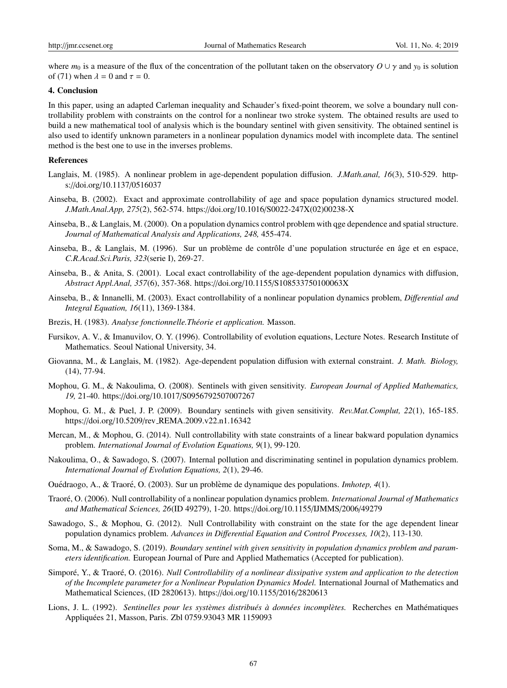where  $m_0$  is a measure of the flux of the concentration of the pollutant taken on the observatory  $O \cup \gamma$  and  $y_0$  is solution of (71) when  $\lambda = 0$  and  $\tau = 0$ .

## 4. Conclusion

In this paper, using an adapted Carleman inequality and Schauder's fixed-point theorem, we solve a boundary null controllability problem with constraints on the control for a nonlinear two stroke system. The obtained results are used to build a new mathematical tool of analysis which is the boundary sentinel with given sensitivity. The obtained sentinel is also used to identify unknown parameters in a nonlinear population dynamics model with incomplete data. The sentinel method is the best one to use in the inverses problems.

## References

- Langlais, M. (1985). A nonlinear problem in age-dependent population diffusion. *J.Math.anal, 16*(3), 510-529. https://doi.org/10.1137/0516037
- Ainseba, B. (2002). Exact and approximate controllability of age and space population dynamics structured model. *J.Math.Anal.App, 275*(2), 562-574. https://doi.org/10.1016/S0022-247X(02)00238-X
- Ainseba, B., & Langlais, M. (2000). On a population dynamics control problem with qge dependence and spatial structure. *Journal of Mathematical Analysis and Applications, 248,* 455-474.
- Ainseba, B., & Langlais, M. (1996). Sur un problème de contrôle d'une population structurée en âge et en espace, *C.R.Acad.Sci.Paris, 323*(serie I), 269-27.
- Ainseba, B., & Anita, S. (2001). Local exact controllability of the age-dependent population dynamics with diffusion, *Abstract Appl.Anal, 357*(6), 357-368. https://doi.org/10.1155/S108533750100063X
- Ainseba, B., & Innanelli, M. (2003). Exact controllability of a nonlinear population dynamics problem, *Di*ff*erential and Integral Equation, 16*(11), 1369-1384.
- Brezis, H. (1983). *Analyse fonctionnelle. Théorie et application*. Masson.
- Fursikov, A. V., & Imanuvilov, O. Y. (1996). Controllability of evolution equations, Lecture Notes. Research Institute of Mathematics. Seoul National University, 34.
- Giovanna, M., & Langlais, M. (1982). Age-dependent population diffusion with external constraint. *J. Math. Biology,* (14), 77-94.
- Mophou, G. M., & Nakoulima, O. (2008). Sentinels with given sensitivity. *European Journal of Applied Mathematics, 19,* 21-40. https://doi.org/10.1017/S0956792507007267
- Mophou, G. M., & Puel, J. P. (2009). Boundary sentinels with given sensitivity. *Rev.Mat.Complut, 22*(1), 165-185. https://doi.org/10.5209/rev REMA.2009.v22.n1.16342
- Mercan, M., & Mophou, G. (2014). Null controllability with state constraints of a linear bakward population dynamics problem. *International Journal of Evolution Equations, 9*(1), 99-120.
- Nakoulima, O., & Sawadogo, S. (2007). Internal pollution and discriminating sentinel in population dynamics problem. *International Journal of Evolution Equations, 2*(1), 29-46.
- Ouédraogo, A., & Traoré, O. (2003). Sur un problème de dynamique des populations. *Imhotep*, 4(1).
- Traoré, O. (2006). Null controllability of a nonlinear population dynamics problem. *International Journal of Mathematics and Mathematical Sciences, 26*(ID 49279), 1-20. https://doi.org/10.1155/IJMMS/2006/49279
- Sawadogo, S., & Mophou, G. (2012). Null Controllability with constraint on the state for the age dependent linear population dynamics problem. *Advances in Di*ff*erential Equation and Control Processes, 10*(2), 113-130.
- Soma, M., & Sawadogo, S. (2019). *Boundary sentinel with given sensitivity in population dynamics problem and parameters identification.* European Journal of Pure and Applied Mathematics (Accepted for publication).
- Simporé, Y., & Traoré, O. (2016). *Null Controllability of a nonlinear dissipative system and application to the detection of the Incomplete parameter for a Nonlinear Population Dynamics Model.* International Journal of Mathematics and Mathematical Sciences, (ID 2820613). https://doi.org/10.1155/2016/2820613
- Lions, J. L. (1992). *Sentinelles pour les systèmes distribués à données incomplètes*. Recherches en Mathématiques Appliquees 21, Masson, Paris. Zbl 0759.93043 MR 1159093 ´